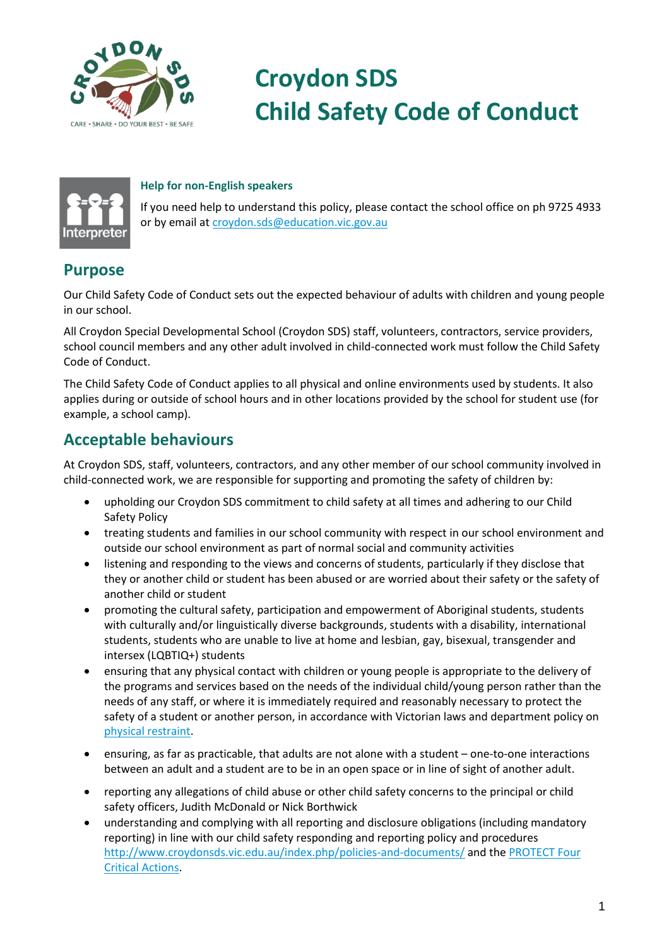

# **Croydon SDS Child Safety Code of Conduct**

#### **Help for non-English speakers**

If you need help to understand this policy, please contact the school office on ph 9725 4933 or by email at [croydon.sds@education.vic.gov.au](mailto:croydon.sds@education.vic.gov.au)

### **Purpose**

Our Child Safety Code of Conduct sets out the expected behaviour of adults with children and young people in our school.

All Croydon Special Developmental School (Croydon SDS) staff, volunteers, contractors, service providers, school council members and any other adult involved in child-connected work must follow the Child Safety Code of Conduct.

The Child Safety Code of Conduct applies to all physical and online environments used by students. It also applies during or outside of school hours and in other locations provided by the school for student use (for example, a school camp).

## **Acceptable behaviours**

At Croydon SDS, staff, volunteers, contractors, and any other member of our school community involved in child-connected work, we are responsible for supporting and promoting the safety of children by:

- upholding our Croydon SDS commitment to child safety at all times and adhering to our Child Safety Policy
- treating students and families in our school community with respect in our school environment and outside our school environment as part of normal social and community activities
- listening and responding to the views and concerns of students, particularly if they disclose that they or another child or student has been abused or are worried about their safety or the safety of another child or student
- promoting the cultural safety, participation and empowerment of Aboriginal students, students with culturally and/or linguistically diverse backgrounds, students with a disability, international students, students who are unable to live at home and lesbian, gay, bisexual, transgender and intersex (LQBTIQ+) students
- ensuring that any physical contact with children or young people is appropriate to the delivery of the programs and services based on the needs of the individual child/young person rather than the needs of any staff, or where it is immediately required and reasonably necessary to protect the safety of a student or another person, in accordance with Victorian laws and department policy on [physical restraint.](https://www2.education.vic.gov.au/pal/restraint-seclusion/policy)
- ensuring, as far as practicable, that adults are not alone with a student one-to-one interactions between an adult and a student are to be in an open space or in line of sight of another adult.
- reporting any allegations of child abuse or other child safety concerns to the principal or child safety officers, Judith McDonald or Nick Borthwick
- understanding and complying with all reporting and disclosure obligations (including mandatory reporting) in line with our child safety responding and reporting policy and procedures <http://www.croydonsds.vic.edu.au/index.php/policies-and-documents/> and th[e PROTECT Four](https://www.education.vic.gov.au/Documents/about/programs/health/protect/FourCriticalActions_ChildAbuse.pdf)  [Critical Actions.](https://www.education.vic.gov.au/Documents/about/programs/health/protect/FourCriticalActions_ChildAbuse.pdf)